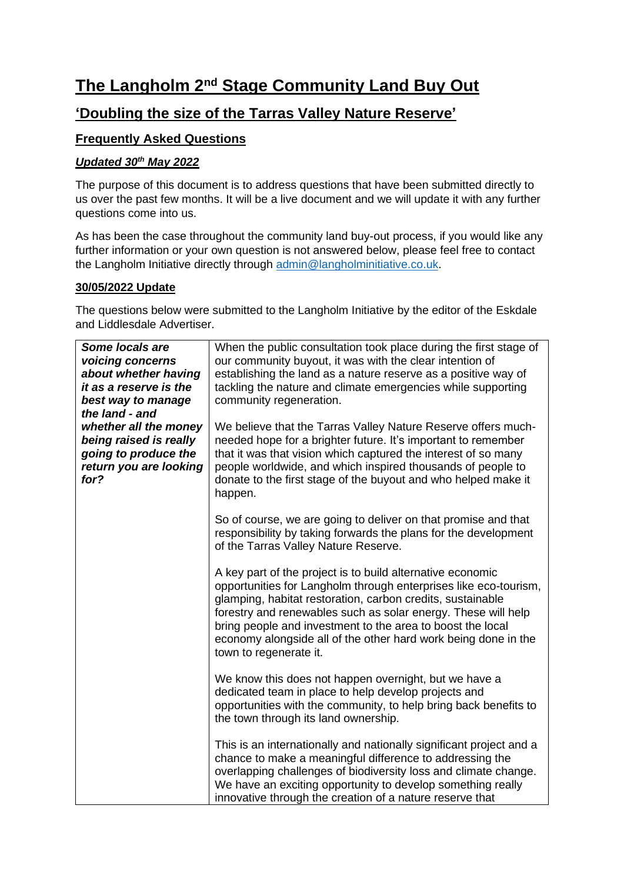# **The Langholm 2nd Stage Community Land Buy Out**

# **'Doubling the size of the Tarras Valley Nature Reserve'**

# **Frequently Asked Questions**

# *Updated 30th May 2022*

The purpose of this document is to address questions that have been submitted directly to us over the past few months. It will be a live document and we will update it with any further questions come into us.

As has been the case throughout the community land buy-out process, if you would like any further information or your own question is not answered below, please feel free to contact the Langholm Initiative directly through [admin@langholminitiative.co.uk.](mailto:admin@langholminitiative.co.uk)

#### **30/05/2022 Update**

The questions below were submitted to the Langholm Initiative by the editor of the Eskdale and Liddlesdale Advertiser.

| When the public consultation took place during the first stage of                                        |
|----------------------------------------------------------------------------------------------------------|
| our community buyout, it was with the clear intention of                                                 |
| establishing the land as a nature reserve as a positive way of                                           |
| tackling the nature and climate emergencies while supporting                                             |
| community regeneration.                                                                                  |
|                                                                                                          |
| We believe that the Tarras Valley Nature Reserve offers much-                                            |
| needed hope for a brighter future. It's important to remember                                            |
| that it was that vision which captured the interest of so many                                           |
| people worldwide, and which inspired thousands of people to                                              |
| donate to the first stage of the buyout and who helped make it                                           |
| happen.                                                                                                  |
|                                                                                                          |
| So of course, we are going to deliver on that promise and that                                           |
| responsibility by taking forwards the plans for the development                                          |
| of the Tarras Valley Nature Reserve.                                                                     |
| A key part of the project is to build alternative economic                                               |
| opportunities for Langholm through enterprises like eco-tourism,                                         |
| glamping, habitat restoration, carbon credits, sustainable                                               |
| forestry and renewables such as solar energy. These will help                                            |
| bring people and investment to the area to boost the local                                               |
| economy alongside all of the other hard work being done in the                                           |
| town to regenerate it.                                                                                   |
|                                                                                                          |
| We know this does not happen overnight, but we have a                                                    |
| dedicated team in place to help develop projects and                                                     |
| opportunities with the community, to help bring back benefits to<br>the town through its land ownership. |
|                                                                                                          |
| This is an internationally and nationally significant project and a                                      |
| chance to make a meaningful difference to addressing the                                                 |
| overlapping challenges of biodiversity loss and climate change.                                          |
| We have an exciting opportunity to develop something really                                              |
| innovative through the creation of a nature reserve that                                                 |
|                                                                                                          |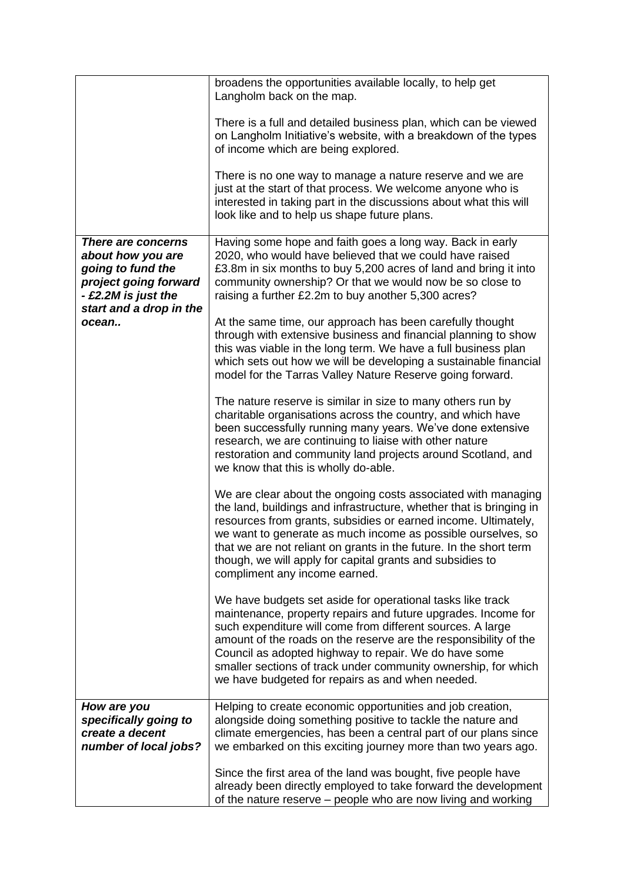|                                                                                                                                         | broadens the opportunities available locally, to help get<br>Langholm back on the map.                                                                                                                                                                                                                                                                                                                                                       |
|-----------------------------------------------------------------------------------------------------------------------------------------|----------------------------------------------------------------------------------------------------------------------------------------------------------------------------------------------------------------------------------------------------------------------------------------------------------------------------------------------------------------------------------------------------------------------------------------------|
|                                                                                                                                         | There is a full and detailed business plan, which can be viewed<br>on Langholm Initiative's website, with a breakdown of the types<br>of income which are being explored.                                                                                                                                                                                                                                                                    |
|                                                                                                                                         | There is no one way to manage a nature reserve and we are<br>just at the start of that process. We welcome anyone who is<br>interested in taking part in the discussions about what this will<br>look like and to help us shape future plans.                                                                                                                                                                                                |
| There are concerns<br>about how you are<br>going to fund the<br>project going forward<br>- £2.2M is just the<br>start and a drop in the | Having some hope and faith goes a long way. Back in early<br>2020, who would have believed that we could have raised<br>£3.8m in six months to buy 5,200 acres of land and bring it into<br>community ownership? Or that we would now be so close to<br>raising a further £2.2m to buy another 5,300 acres?                                                                                                                                  |
| ocean                                                                                                                                   | At the same time, our approach has been carefully thought<br>through with extensive business and financial planning to show<br>this was viable in the long term. We have a full business plan<br>which sets out how we will be developing a sustainable financial<br>model for the Tarras Valley Nature Reserve going forward.                                                                                                               |
|                                                                                                                                         | The nature reserve is similar in size to many others run by<br>charitable organisations across the country, and which have<br>been successfully running many years. We've done extensive<br>research, we are continuing to liaise with other nature<br>restoration and community land projects around Scotland, and<br>we know that this is wholly do-able.                                                                                  |
|                                                                                                                                         | We are clear about the ongoing costs associated with managing<br>the land, buildings and infrastructure, whether that is bringing in<br>resources from grants, subsidies or earned income. Ultimately,<br>we want to generate as much income as possible ourselves, so<br>that we are not reliant on grants in the future. In the short term<br>though, we will apply for capital grants and subsidies to<br>compliment any income earned.   |
|                                                                                                                                         | We have budgets set aside for operational tasks like track<br>maintenance, property repairs and future upgrades. Income for<br>such expenditure will come from different sources. A large<br>amount of the roads on the reserve are the responsibility of the<br>Council as adopted highway to repair. We do have some<br>smaller sections of track under community ownership, for which<br>we have budgeted for repairs as and when needed. |
| How are you<br>specifically going to<br>create a decent<br>number of local jobs?                                                        | Helping to create economic opportunities and job creation,<br>alongside doing something positive to tackle the nature and<br>climate emergencies, has been a central part of our plans since<br>we embarked on this exciting journey more than two years ago.                                                                                                                                                                                |
|                                                                                                                                         | Since the first area of the land was bought, five people have<br>already been directly employed to take forward the development<br>of the nature reserve – people who are now living and working                                                                                                                                                                                                                                             |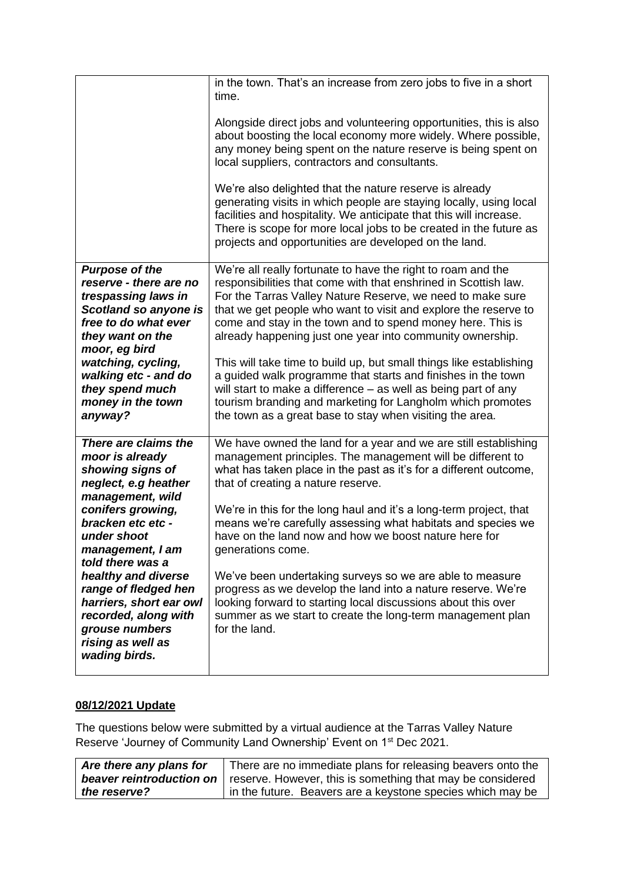|                                                                                                                                                                                                                                                                                                                                                                    | in the town. That's an increase from zero jobs to five in a short<br>time.<br>Alongside direct jobs and volunteering opportunities, this is also<br>about boosting the local economy more widely. Where possible,<br>any money being spent on the nature reserve is being spent on<br>local suppliers, contractors and consultants.<br>We're also delighted that the nature reserve is already<br>generating visits in which people are staying locally, using local<br>facilities and hospitality. We anticipate that this will increase.<br>There is scope for more local jobs to be created in the future as<br>projects and opportunities are developed on the land.                                                                 |
|--------------------------------------------------------------------------------------------------------------------------------------------------------------------------------------------------------------------------------------------------------------------------------------------------------------------------------------------------------------------|------------------------------------------------------------------------------------------------------------------------------------------------------------------------------------------------------------------------------------------------------------------------------------------------------------------------------------------------------------------------------------------------------------------------------------------------------------------------------------------------------------------------------------------------------------------------------------------------------------------------------------------------------------------------------------------------------------------------------------------|
| <b>Purpose of the</b><br>reserve - there are no<br>trespassing laws in<br>Scotland so anyone is<br>free to do what ever<br>they want on the<br>moor, eg bird<br>watching, cycling,<br>walking etc - and do<br>they spend much<br>money in the town<br>anyway?                                                                                                      | We're all really fortunate to have the right to roam and the<br>responsibilities that come with that enshrined in Scottish law.<br>For the Tarras Valley Nature Reserve, we need to make sure<br>that we get people who want to visit and explore the reserve to<br>come and stay in the town and to spend money here. This is<br>already happening just one year into community ownership.<br>This will take time to build up, but small things like establishing<br>a guided walk programme that starts and finishes in the town<br>will start to make a difference – as well as being part of any<br>tourism branding and marketing for Langholm which promotes<br>the town as a great base to stay when visiting the area.           |
| There are claims the<br>moor is already<br>showing signs of<br>neglect, e.g heather<br>management, wild<br>conifers growing,<br>bracken etc etc -<br>under shoot<br>management, I am<br>told there was a<br>healthy and diverse<br>range of fledged hen<br>harriers, short ear owl<br>recorded, along with<br>grouse numbers<br>rising as well as<br>wading birds. | We have owned the land for a year and we are still establishing<br>management principles. The management will be different to<br>what has taken place in the past as it's for a different outcome,<br>that of creating a nature reserve.<br>We're in this for the long haul and it's a long-term project, that<br>means we're carefully assessing what habitats and species we<br>have on the land now and how we boost nature here for<br>generations come.<br>We've been undertaking surveys so we are able to measure<br>progress as we develop the land into a nature reserve. We're<br>looking forward to starting local discussions about this over<br>summer as we start to create the long-term management plan<br>for the land. |

# **08/12/2021 Update**

The questions below were submitted by a virtual audience at the Tarras Valley Nature Reserve 'Journey of Community Land Ownership' Event on 1<sup>st</sup> Dec 2021.

| Are there any plans for | There are no immediate plans for releasing beavers onto the                                  |
|-------------------------|----------------------------------------------------------------------------------------------|
|                         | <b>beaver reintroduction on</b>   reserve. However, this is something that may be considered |
| the reserve?            | In the future. Beavers are a keystone species which may be                                   |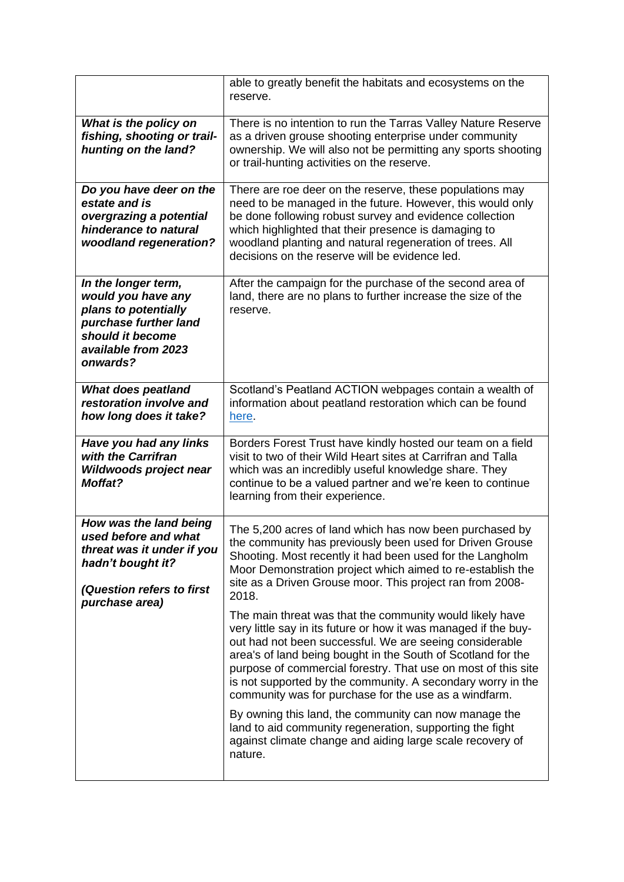|                                                                                                                                                   | able to greatly benefit the habitats and ecosystems on the<br>reserve.                                                                                                                                                                                                                                                                                                                                                                                                                                                                                                                                                                                                                                                                                                                                                                                                                                                                                               |
|---------------------------------------------------------------------------------------------------------------------------------------------------|----------------------------------------------------------------------------------------------------------------------------------------------------------------------------------------------------------------------------------------------------------------------------------------------------------------------------------------------------------------------------------------------------------------------------------------------------------------------------------------------------------------------------------------------------------------------------------------------------------------------------------------------------------------------------------------------------------------------------------------------------------------------------------------------------------------------------------------------------------------------------------------------------------------------------------------------------------------------|
| What is the policy on<br>fishing, shooting or trail-<br>hunting on the land?                                                                      | There is no intention to run the Tarras Valley Nature Reserve<br>as a driven grouse shooting enterprise under community<br>ownership. We will also not be permitting any sports shooting<br>or trail-hunting activities on the reserve.                                                                                                                                                                                                                                                                                                                                                                                                                                                                                                                                                                                                                                                                                                                              |
| Do you have deer on the<br>estate and is<br>overgrazing a potential<br>hinderance to natural<br>woodland regeneration?                            | There are roe deer on the reserve, these populations may<br>need to be managed in the future. However, this would only<br>be done following robust survey and evidence collection<br>which highlighted that their presence is damaging to<br>woodland planting and natural regeneration of trees. All<br>decisions on the reserve will be evidence led.                                                                                                                                                                                                                                                                                                                                                                                                                                                                                                                                                                                                              |
| In the longer term,<br>would you have any<br>plans to potentially<br>purchase further land<br>should it become<br>available from 2023<br>onwards? | After the campaign for the purchase of the second area of<br>land, there are no plans to further increase the size of the<br>reserve.                                                                                                                                                                                                                                                                                                                                                                                                                                                                                                                                                                                                                                                                                                                                                                                                                                |
| <b>What does peatland</b><br>restoration involve and<br>how long does it take?                                                                    | Scotland's Peatland ACTION webpages contain a wealth of<br>information about peatland restoration which can be found<br>here.                                                                                                                                                                                                                                                                                                                                                                                                                                                                                                                                                                                                                                                                                                                                                                                                                                        |
| Have you had any links<br>with the Carrifran<br>Wildwoods project near<br><b>Moffat?</b>                                                          | Borders Forest Trust have kindly hosted our team on a field<br>visit to two of their Wild Heart sites at Carrifran and Talla<br>which was an incredibly useful knowledge share. They<br>continue to be a valued partner and we're keen to continue<br>learning from their experience.                                                                                                                                                                                                                                                                                                                                                                                                                                                                                                                                                                                                                                                                                |
| How was the land being<br>used before and what<br>threat was it under if you<br>hadn't bought it?<br>(Question refers to first<br>purchase area)  | The 5,200 acres of land which has now been purchased by<br>the community has previously been used for Driven Grouse<br>Shooting. Most recently it had been used for the Langholm<br>Moor Demonstration project which aimed to re-establish the<br>site as a Driven Grouse moor. This project ran from 2008-<br>2018.<br>The main threat was that the community would likely have<br>very little say in its future or how it was managed if the buy-<br>out had not been successful. We are seeing considerable<br>area's of land being bought in the South of Scotland for the<br>purpose of commercial forestry. That use on most of this site<br>is not supported by the community. A secondary worry in the<br>community was for purchase for the use as a windfarm.<br>By owning this land, the community can now manage the<br>land to aid community regeneration, supporting the fight<br>against climate change and aiding large scale recovery of<br>nature. |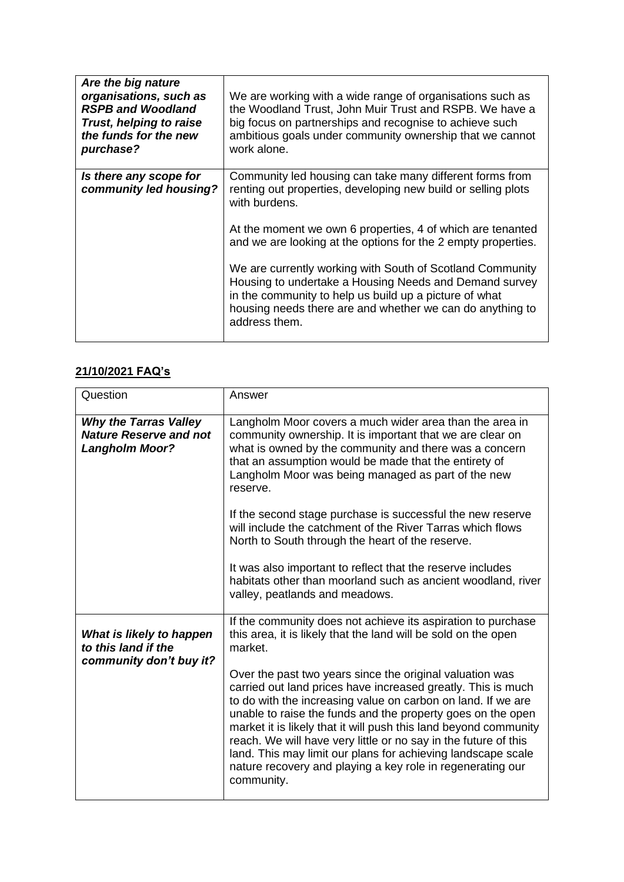| Are the big nature<br>organisations, such as<br><b>RSPB and Woodland</b><br>Trust, helping to raise<br>the funds for the new<br>purchase? | We are working with a wide range of organisations such as<br>the Woodland Trust, John Muir Trust and RSPB. We have a<br>big focus on partnerships and recognise to achieve such<br>ambitious goals under community ownership that we cannot<br>work alone.                                                                                                                                                                                                 |
|-------------------------------------------------------------------------------------------------------------------------------------------|------------------------------------------------------------------------------------------------------------------------------------------------------------------------------------------------------------------------------------------------------------------------------------------------------------------------------------------------------------------------------------------------------------------------------------------------------------|
| Is there any scope for<br>community led housing?                                                                                          | Community led housing can take many different forms from<br>renting out properties, developing new build or selling plots<br>with burdens.<br>At the moment we own 6 properties, 4 of which are tenanted<br>and we are looking at the options for the 2 empty properties.<br>We are currently working with South of Scotland Community<br>Housing to undertake a Housing Needs and Demand survey<br>in the community to help us build up a picture of what |
|                                                                                                                                           | housing needs there are and whether we can do anything to<br>address them.                                                                                                                                                                                                                                                                                                                                                                                 |

# **21/10/2021 FAQ's**

| Question                                                                               | Answer                                                                                                                                                                                                                                                                                                                                                                                                                                                                                                                                     |
|----------------------------------------------------------------------------------------|--------------------------------------------------------------------------------------------------------------------------------------------------------------------------------------------------------------------------------------------------------------------------------------------------------------------------------------------------------------------------------------------------------------------------------------------------------------------------------------------------------------------------------------------|
| <b>Why the Tarras Valley</b><br><b>Nature Reserve and not</b><br><b>Langholm Moor?</b> | Langholm Moor covers a much wider area than the area in<br>community ownership. It is important that we are clear on<br>what is owned by the community and there was a concern<br>that an assumption would be made that the entirety of<br>Langholm Moor was being managed as part of the new<br>reserve.                                                                                                                                                                                                                                  |
|                                                                                        | If the second stage purchase is successful the new reserve<br>will include the catchment of the River Tarras which flows<br>North to South through the heart of the reserve.                                                                                                                                                                                                                                                                                                                                                               |
|                                                                                        | It was also important to reflect that the reserve includes<br>habitats other than moorland such as ancient woodland, river<br>valley, peatlands and meadows.                                                                                                                                                                                                                                                                                                                                                                               |
| What is likely to happen<br>to this land if the<br>community don't buy it?             | If the community does not achieve its aspiration to purchase<br>this area, it is likely that the land will be sold on the open<br>market.                                                                                                                                                                                                                                                                                                                                                                                                  |
|                                                                                        | Over the past two years since the original valuation was<br>carried out land prices have increased greatly. This is much<br>to do with the increasing value on carbon on land. If we are<br>unable to raise the funds and the property goes on the open<br>market it is likely that it will push this land beyond community<br>reach. We will have very little or no say in the future of this<br>land. This may limit our plans for achieving landscape scale<br>nature recovery and playing a key role in regenerating our<br>community. |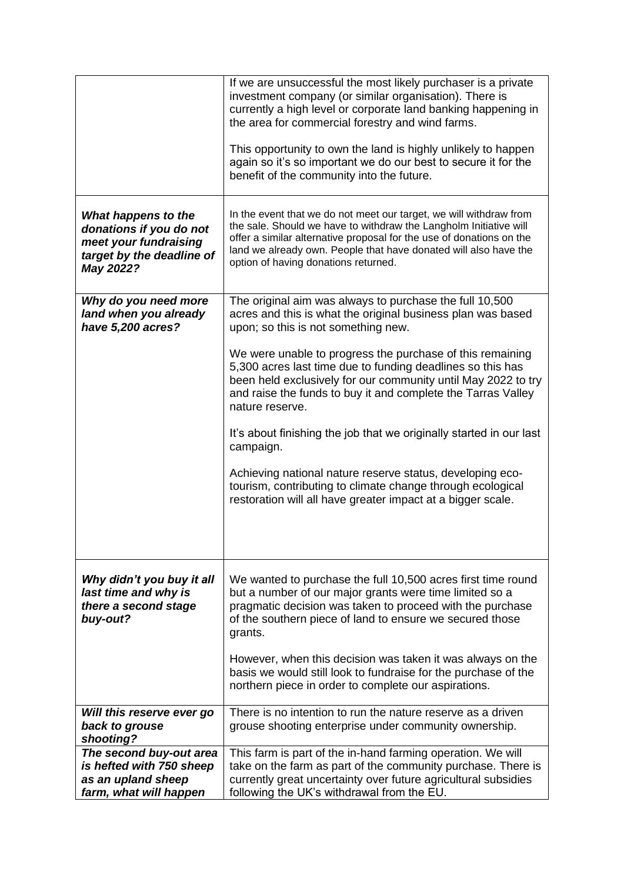|                                                                                                                   | If we are unsuccessful the most likely purchaser is a private<br>investment company (or similar organisation). There is<br>currently a high level or corporate land banking happening in<br>the area for commercial forestry and wind farms.<br>This opportunity to own the land is highly unlikely to happen<br>again so it's so important we do our best to secure it for the<br>benefit of the community into the future. |
|-------------------------------------------------------------------------------------------------------------------|------------------------------------------------------------------------------------------------------------------------------------------------------------------------------------------------------------------------------------------------------------------------------------------------------------------------------------------------------------------------------------------------------------------------------|
| What happens to the<br>donations if you do not<br>meet your fundraising<br>target by the deadline of<br>May 2022? | In the event that we do not meet our target, we will withdraw from<br>the sale. Should we have to withdraw the Langholm Initiative will<br>offer a similar alternative proposal for the use of donations on the<br>land we already own. People that have donated will also have the<br>option of having donations returned.                                                                                                  |
| Why do you need more<br>land when you already<br>have 5,200 acres?                                                | The original aim was always to purchase the full 10,500<br>acres and this is what the original business plan was based<br>upon; so this is not something new.                                                                                                                                                                                                                                                                |
|                                                                                                                   | We were unable to progress the purchase of this remaining<br>5,300 acres last time due to funding deadlines so this has<br>been held exclusively for our community until May 2022 to try<br>and raise the funds to buy it and complete the Tarras Valley<br>nature reserve.                                                                                                                                                  |
|                                                                                                                   | It's about finishing the job that we originally started in our last<br>campaign.                                                                                                                                                                                                                                                                                                                                             |
|                                                                                                                   | Achieving national nature reserve status, developing eco-<br>tourism, contributing to climate change through ecological<br>restoration will all have greater impact at a bigger scale.                                                                                                                                                                                                                                       |
| Why didn't you buy it all<br>last time and why is<br>there a second stage<br>buy-out?                             | We wanted to purchase the full 10,500 acres first time round<br>but a number of our major grants were time limited so a<br>pragmatic decision was taken to proceed with the purchase<br>of the southern piece of land to ensure we secured those<br>grants.                                                                                                                                                                  |
|                                                                                                                   | However, when this decision was taken it was always on the<br>basis we would still look to fundraise for the purchase of the<br>northern piece in order to complete our aspirations.                                                                                                                                                                                                                                         |
| Will this reserve ever go<br>back to grouse<br>shooting?                                                          | There is no intention to run the nature reserve as a driven<br>grouse shooting enterprise under community ownership.                                                                                                                                                                                                                                                                                                         |
| The second buy-out area<br>is hefted with 750 sheep<br>as an upland sheep<br>farm, what will happen               | This farm is part of the in-hand farming operation. We will<br>take on the farm as part of the community purchase. There is<br>currently great uncertainty over future agricultural subsidies<br>following the UK's withdrawal from the EU.                                                                                                                                                                                  |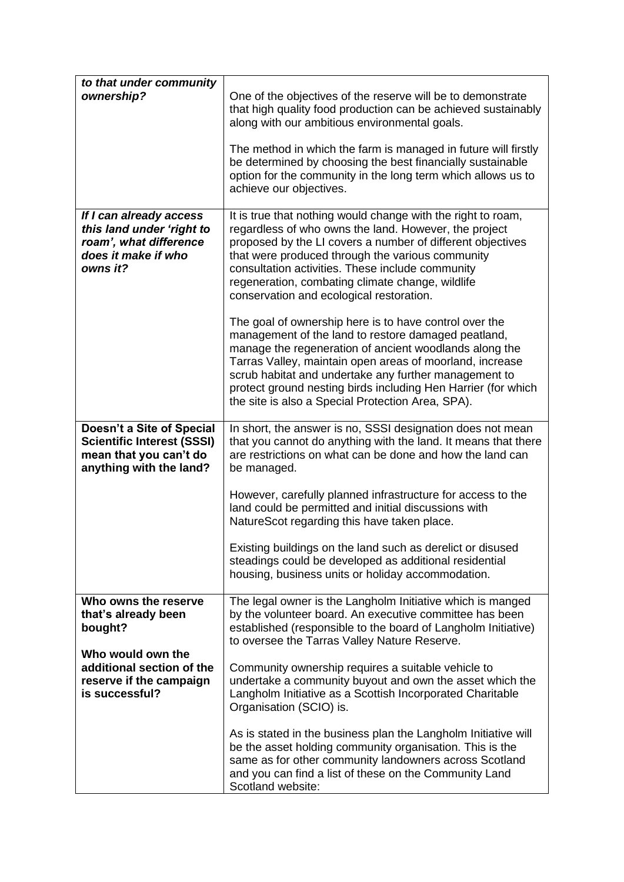| to that under community<br>ownership?                                                                               | One of the objectives of the reserve will be to demonstrate<br>that high quality food production can be achieved sustainably<br>along with our ambitious environmental goals.<br>The method in which the farm is managed in future will firstly<br>be determined by choosing the best financially sustainable<br>option for the community in the long term which allows us to<br>achieve our objectives.                                                                                                                                                                                                                                                                                                                                                                                                          |
|---------------------------------------------------------------------------------------------------------------------|-------------------------------------------------------------------------------------------------------------------------------------------------------------------------------------------------------------------------------------------------------------------------------------------------------------------------------------------------------------------------------------------------------------------------------------------------------------------------------------------------------------------------------------------------------------------------------------------------------------------------------------------------------------------------------------------------------------------------------------------------------------------------------------------------------------------|
| If I can already access<br>this land under 'right to<br>roam', what difference<br>does it make if who<br>owns it?   | It is true that nothing would change with the right to roam,<br>regardless of who owns the land. However, the project<br>proposed by the LI covers a number of different objectives<br>that were produced through the various community<br>consultation activities. These include community<br>regeneration, combating climate change, wildlife<br>conservation and ecological restoration.<br>The goal of ownership here is to have control over the<br>management of the land to restore damaged peatland,<br>manage the regeneration of ancient woodlands along the<br>Tarras Valley, maintain open areas of moorland, increase<br>scrub habitat and undertake any further management to<br>protect ground nesting birds including Hen Harrier (for which<br>the site is also a Special Protection Area, SPA). |
| Doesn't a Site of Special<br><b>Scientific Interest (SSSI)</b><br>mean that you can't do<br>anything with the land? | In short, the answer is no, SSSI designation does not mean<br>that you cannot do anything with the land. It means that there<br>are restrictions on what can be done and how the land can<br>be managed.                                                                                                                                                                                                                                                                                                                                                                                                                                                                                                                                                                                                          |
|                                                                                                                     | However, carefully planned infrastructure for access to the<br>land could be permitted and initial discussions with<br>NatureScot regarding this have taken place.                                                                                                                                                                                                                                                                                                                                                                                                                                                                                                                                                                                                                                                |
|                                                                                                                     | Existing buildings on the land such as derelict or disused<br>steadings could be developed as additional residential<br>housing, business units or holiday accommodation.                                                                                                                                                                                                                                                                                                                                                                                                                                                                                                                                                                                                                                         |
| Who owns the reserve<br>that's already been<br>bought?                                                              | The legal owner is the Langholm Initiative which is manged<br>by the volunteer board. An executive committee has been<br>established (responsible to the board of Langholm Initiative)<br>to oversee the Tarras Valley Nature Reserve.                                                                                                                                                                                                                                                                                                                                                                                                                                                                                                                                                                            |
| Who would own the<br>additional section of the<br>reserve if the campaign<br>is successful?                         | Community ownership requires a suitable vehicle to<br>undertake a community buyout and own the asset which the<br>Langholm Initiative as a Scottish Incorporated Charitable<br>Organisation (SCIO) is.                                                                                                                                                                                                                                                                                                                                                                                                                                                                                                                                                                                                            |
|                                                                                                                     | As is stated in the business plan the Langholm Initiative will<br>be the asset holding community organisation. This is the<br>same as for other community landowners across Scotland<br>and you can find a list of these on the Community Land<br>Scotland website:                                                                                                                                                                                                                                                                                                                                                                                                                                                                                                                                               |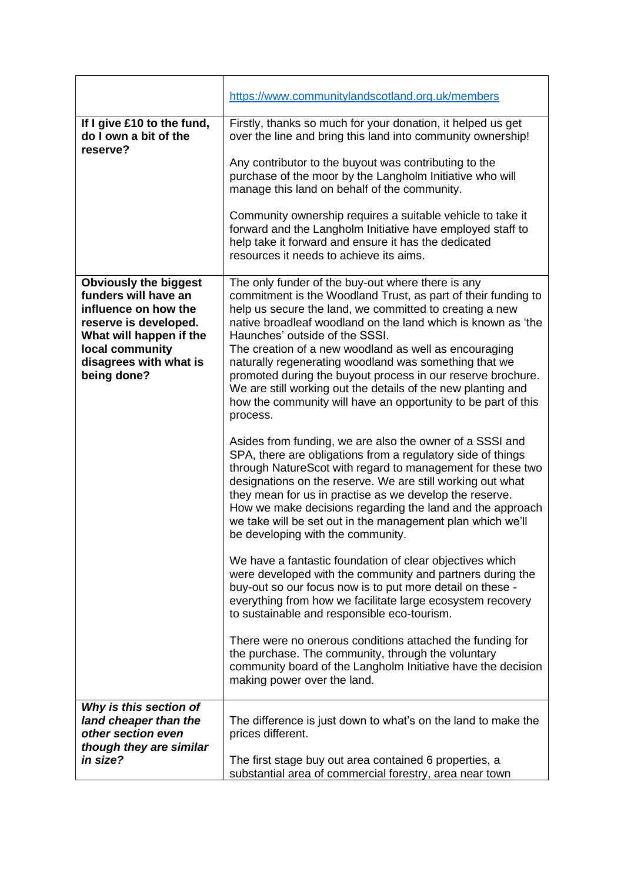|                                                                                                                                                                                              | https://www.communitylandscotland.org.uk/members                                                                                                                                                                                                                                                                                                                                                                                                                                                                                                                                                  |
|----------------------------------------------------------------------------------------------------------------------------------------------------------------------------------------------|---------------------------------------------------------------------------------------------------------------------------------------------------------------------------------------------------------------------------------------------------------------------------------------------------------------------------------------------------------------------------------------------------------------------------------------------------------------------------------------------------------------------------------------------------------------------------------------------------|
| If I give £10 to the fund,<br>do I own a bit of the<br>reserve?                                                                                                                              | Firstly, thanks so much for your donation, it helped us get<br>over the line and bring this land into community ownership!                                                                                                                                                                                                                                                                                                                                                                                                                                                                        |
|                                                                                                                                                                                              | Any contributor to the buyout was contributing to the<br>purchase of the moor by the Langholm Initiative who will<br>manage this land on behalf of the community.                                                                                                                                                                                                                                                                                                                                                                                                                                 |
|                                                                                                                                                                                              | Community ownership requires a suitable vehicle to take it<br>forward and the Langholm Initiative have employed staff to<br>help take it forward and ensure it has the dedicated<br>resources it needs to achieve its aims.                                                                                                                                                                                                                                                                                                                                                                       |
| <b>Obviously the biggest</b><br>funders will have an<br>influence on how the<br>reserve is developed.<br>What will happen if the<br>local community<br>disagrees with what is<br>being done? | The only funder of the buy-out where there is any<br>commitment is the Woodland Trust, as part of their funding to<br>help us secure the land, we committed to creating a new<br>native broadleaf woodland on the land which is known as 'the<br>Haunches' outside of the SSSI.<br>The creation of a new woodland as well as encouraging<br>naturally regenerating woodland was something that we<br>promoted during the buyout process in our reserve brochure.<br>We are still working out the details of the new planting and<br>how the community will have an opportunity to be part of this |
|                                                                                                                                                                                              | process.                                                                                                                                                                                                                                                                                                                                                                                                                                                                                                                                                                                          |
|                                                                                                                                                                                              | Asides from funding, we are also the owner of a SSSI and<br>SPA, there are obligations from a regulatory side of things<br>through NatureScot with regard to management for these two<br>designations on the reserve. We are still working out what<br>they mean for us in practise as we develop the reserve.<br>How we make decisions regarding the land and the approach<br>we take will be set out in the management plan which we'll<br>be developing with the community.                                                                                                                    |
|                                                                                                                                                                                              | We have a fantastic foundation of clear objectives which<br>were developed with the community and partners during the<br>buy-out so our focus now is to put more detail on these -<br>everything from how we facilitate large ecosystem recovery<br>to sustainable and responsible eco-tourism.                                                                                                                                                                                                                                                                                                   |
|                                                                                                                                                                                              | There were no onerous conditions attached the funding for<br>the purchase. The community, through the voluntary<br>community board of the Langholm Initiative have the decision<br>making power over the land.                                                                                                                                                                                                                                                                                                                                                                                    |
| Why is this section of<br>land cheaper than the<br>other section even                                                                                                                        | The difference is just down to what's on the land to make the<br>prices different.                                                                                                                                                                                                                                                                                                                                                                                                                                                                                                                |
| though they are similar<br>in size?                                                                                                                                                          | The first stage buy out area contained 6 properties, a<br>substantial area of commercial forestry, area near town                                                                                                                                                                                                                                                                                                                                                                                                                                                                                 |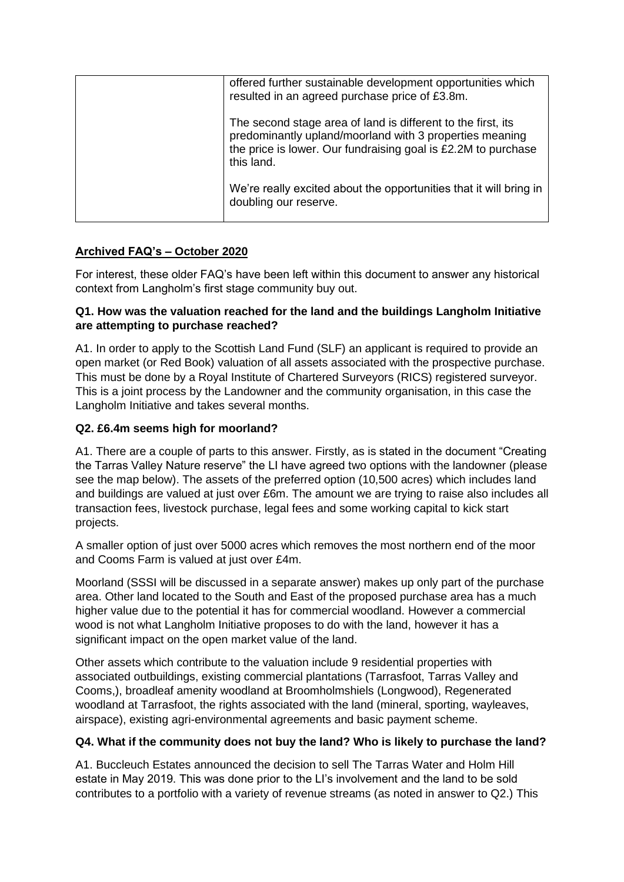| offered further sustainable development opportunities which<br>resulted in an agreed purchase price of £3.8m.                                                                                          |
|--------------------------------------------------------------------------------------------------------------------------------------------------------------------------------------------------------|
| The second stage area of land is different to the first, its<br>predominantly upland/moorland with 3 properties meaning<br>the price is lower. Our fundraising goal is £2.2M to purchase<br>this land. |
| We're really excited about the opportunities that it will bring in<br>doubling our reserve.                                                                                                            |

# **Archived FAQ's – October 2020**

For interest, these older FAQ's have been left within this document to answer any historical context from Langholm's first stage community buy out.

#### **Q1. How was the valuation reached for the land and the buildings Langholm Initiative are attempting to purchase reached?**

A1. In order to apply to the Scottish Land Fund (SLF) an applicant is required to provide an open market (or Red Book) valuation of all assets associated with the prospective purchase. This must be done by a Royal Institute of Chartered Surveyors (RICS) registered surveyor. This is a joint process by the Landowner and the community organisation, in this case the Langholm Initiative and takes several months.

# **Q2. £6.4m seems high for moorland?**

A1. There are a couple of parts to this answer. Firstly, as is stated in the document "Creating the Tarras Valley Nature reserve" the LI have agreed two options with the landowner (please see the map below). The assets of the preferred option (10,500 acres) which includes land and buildings are valued at just over £6m. The amount we are trying to raise also includes all transaction fees, livestock purchase, legal fees and some working capital to kick start projects.

A smaller option of just over 5000 acres which removes the most northern end of the moor and Cooms Farm is valued at just over £4m.

Moorland (SSSI will be discussed in a separate answer) makes up only part of the purchase area. Other land located to the South and East of the proposed purchase area has a much higher value due to the potential it has for commercial woodland. However a commercial wood is not what Langholm Initiative proposes to do with the land, however it has a significant impact on the open market value of the land.

Other assets which contribute to the valuation include 9 residential properties with associated outbuildings, existing commercial plantations (Tarrasfoot, Tarras Valley and Cooms,), broadleaf amenity woodland at Broomholmshiels (Longwood), Regenerated woodland at Tarrasfoot, the rights associated with the land (mineral, sporting, wayleaves, airspace), existing agri-environmental agreements and basic payment scheme.

# **Q4. What if the community does not buy the land? Who is likely to purchase the land?**

A1. Buccleuch Estates announced the decision to sell The Tarras Water and Holm Hill estate in May 2019. This was done prior to the LI's involvement and the land to be sold contributes to a portfolio with a variety of revenue streams (as noted in answer to Q2.) This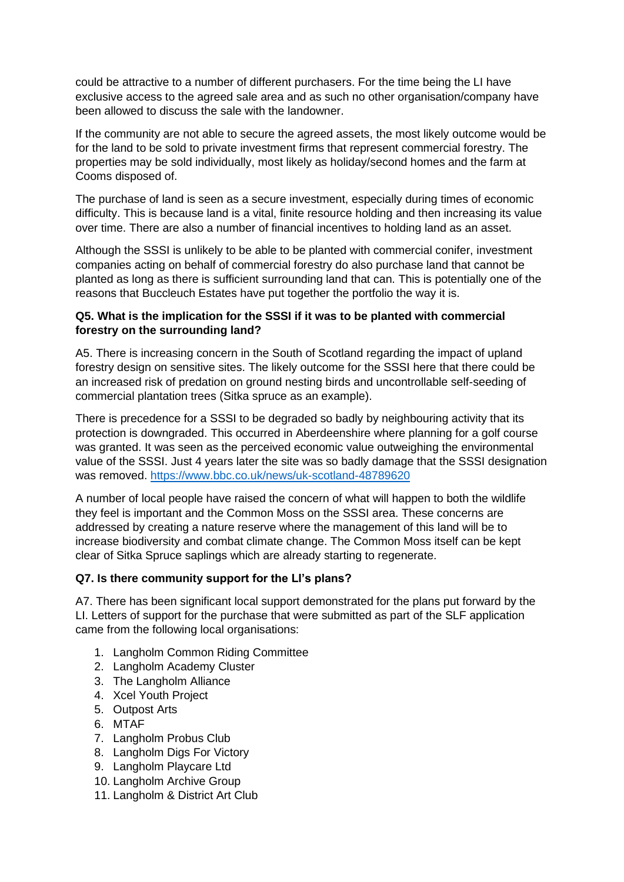could be attractive to a number of different purchasers. For the time being the LI have exclusive access to the agreed sale area and as such no other organisation/company have been allowed to discuss the sale with the landowner.

If the community are not able to secure the agreed assets, the most likely outcome would be for the land to be sold to private investment firms that represent commercial forestry. The properties may be sold individually, most likely as holiday/second homes and the farm at Cooms disposed of.

The purchase of land is seen as a secure investment, especially during times of economic difficulty. This is because land is a vital, finite resource holding and then increasing its value over time. There are also a number of financial incentives to holding land as an asset.

Although the SSSI is unlikely to be able to be planted with commercial conifer, investment companies acting on behalf of commercial forestry do also purchase land that cannot be planted as long as there is sufficient surrounding land that can. This is potentially one of the reasons that Buccleuch Estates have put together the portfolio the way it is.

#### **Q5. What is the implication for the SSSI if it was to be planted with commercial forestry on the surrounding land?**

A5. There is increasing concern in the South of Scotland regarding the impact of upland forestry design on sensitive sites. The likely outcome for the SSSI here that there could be an increased risk of predation on ground nesting birds and uncontrollable self-seeding of commercial plantation trees (Sitka spruce as an example).

There is precedence for a SSSI to be degraded so badly by neighbouring activity that its protection is downgraded. This occurred in Aberdeenshire where planning for a golf course was granted. It was seen as the perceived economic value outweighing the environmental value of the SSSI. Just 4 years later the site was so badly damage that the SSSI designation was removed.<https://www.bbc.co.uk/news/uk-scotland-48789620>

A number of local people have raised the concern of what will happen to both the wildlife they feel is important and the Common Moss on the SSSI area. These concerns are addressed by creating a nature reserve where the management of this land will be to increase biodiversity and combat climate change. The Common Moss itself can be kept clear of Sitka Spruce saplings which are already starting to regenerate.

#### **Q7. Is there community support for the LI's plans?**

A7. There has been significant local support demonstrated for the plans put forward by the LI. Letters of support for the purchase that were submitted as part of the SLF application came from the following local organisations:

- 1. Langholm Common Riding Committee
- 2. Langholm Academy Cluster
- 3. The Langholm Alliance
- 4. Xcel Youth Project
- 5. Outpost Arts
- 6. MTAF
- 7. Langholm Probus Club
- 8. Langholm Digs For Victory
- 9. Langholm Playcare Ltd
- 10. Langholm Archive Group
- 11. Langholm & District Art Club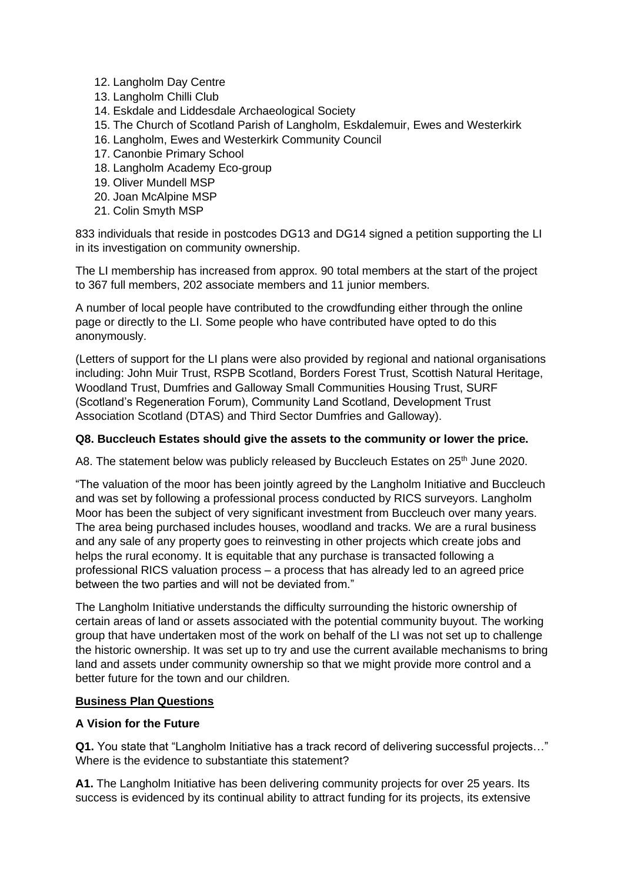- 12. Langholm Day Centre
- 13. Langholm Chilli Club
- 14. Eskdale and Liddesdale Archaeological Society
- 15. The Church of Scotland Parish of Langholm, Eskdalemuir, Ewes and Westerkirk
- 16. Langholm, Ewes and Westerkirk Community Council
- 17. Canonbie Primary School
- 18. Langholm Academy Eco-group
- 19. Oliver Mundell MSP
- 20. Joan McAlpine MSP
- 21. Colin Smyth MSP

833 individuals that reside in postcodes DG13 and DG14 signed a petition supporting the LI in its investigation on community ownership.

The LI membership has increased from approx. 90 total members at the start of the project to 367 full members, 202 associate members and 11 junior members.

A number of local people have contributed to the crowdfunding either through the online page or directly to the LI. Some people who have contributed have opted to do this anonymously.

(Letters of support for the LI plans were also provided by regional and national organisations including: John Muir Trust, RSPB Scotland, Borders Forest Trust, Scottish Natural Heritage, Woodland Trust, Dumfries and Galloway Small Communities Housing Trust, SURF (Scotland's Regeneration Forum), Community Land Scotland, Development Trust Association Scotland (DTAS) and Third Sector Dumfries and Galloway).

#### **Q8. Buccleuch Estates should give the assets to the community or lower the price.**

A8. The statement below was publicly released by Buccleuch Estates on 25<sup>th</sup> June 2020.

"The valuation of the moor has been jointly agreed by the Langholm Initiative and Buccleuch and was set by following a professional process conducted by RICS surveyors. Langholm Moor has been the subject of very significant investment from Buccleuch over many years. The area being purchased includes houses, woodland and tracks. We are a rural business and any sale of any property goes to reinvesting in other projects which create jobs and helps the rural economy. It is equitable that any purchase is transacted following a professional RICS valuation process – a process that has already led to an agreed price between the two parties and will not be deviated from."

The Langholm Initiative understands the difficulty surrounding the historic ownership of certain areas of land or assets associated with the potential community buyout. The working group that have undertaken most of the work on behalf of the LI was not set up to challenge the historic ownership. It was set up to try and use the current available mechanisms to bring land and assets under community ownership so that we might provide more control and a better future for the town and our children.

#### **Business Plan Questions**

# **A Vision for the Future**

**Q1.** You state that "Langholm Initiative has a track record of delivering successful projects…" Where is the evidence to substantiate this statement?

**A1.** The Langholm Initiative has been delivering community projects for over 25 years. Its success is evidenced by its continual ability to attract funding for its projects, its extensive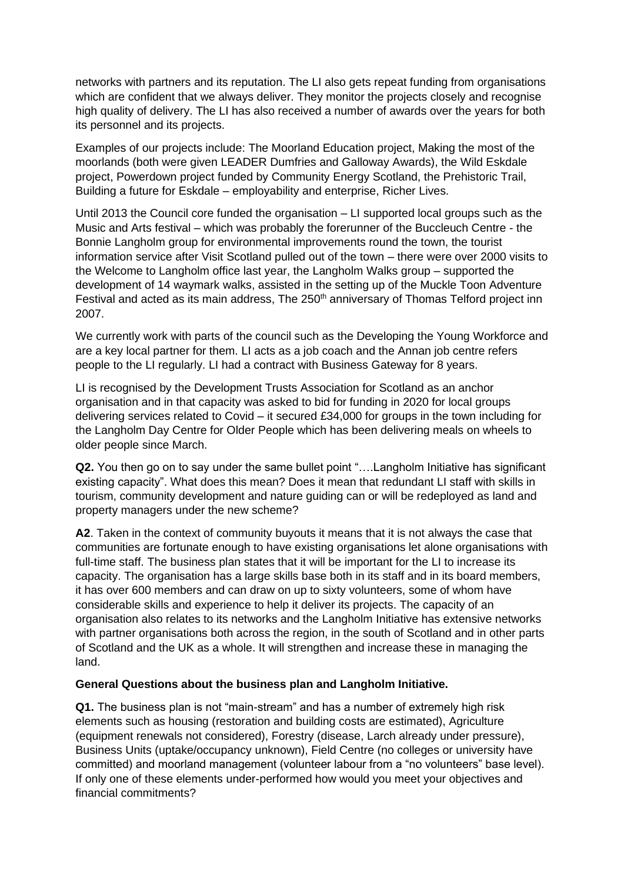networks with partners and its reputation. The LI also gets repeat funding from organisations which are confident that we always deliver. They monitor the projects closely and recognise high quality of delivery. The LI has also received a number of awards over the years for both its personnel and its projects.

Examples of our projects include: The Moorland Education project, Making the most of the moorlands (both were given LEADER Dumfries and Galloway Awards), the Wild Eskdale project, Powerdown project funded by Community Energy Scotland, the Prehistoric Trail, Building a future for Eskdale – employability and enterprise, Richer Lives.

Until 2013 the Council core funded the organisation – LI supported local groups such as the Music and Arts festival – which was probably the forerunner of the Buccleuch Centre - the Bonnie Langholm group for environmental improvements round the town, the tourist information service after Visit Scotland pulled out of the town – there were over 2000 visits to the Welcome to Langholm office last year, the Langholm Walks group – supported the development of 14 waymark walks, assisted in the setting up of the Muckle Toon Adventure Festival and acted as its main address. The  $250<sup>th</sup>$  anniversary of Thomas Telford project inn 2007.

We currently work with parts of the council such as the Developing the Young Workforce and are a key local partner for them. LI acts as a job coach and the Annan job centre refers people to the LI regularly. LI had a contract with Business Gateway for 8 years.

LI is recognised by the Development Trusts Association for Scotland as an anchor organisation and in that capacity was asked to bid for funding in 2020 for local groups delivering services related to Covid – it secured £34,000 for groups in the town including for the Langholm Day Centre for Older People which has been delivering meals on wheels to older people since March.

**Q2.** You then go on to say under the same bullet point "....Langholm Initiative has significant existing capacity". What does this mean? Does it mean that redundant LI staff with skills in tourism, community development and nature guiding can or will be redeployed as land and property managers under the new scheme?

**A2**. Taken in the context of community buyouts it means that it is not always the case that communities are fortunate enough to have existing organisations let alone organisations with full-time staff. The business plan states that it will be important for the LI to increase its capacity. The organisation has a large skills base both in its staff and in its board members, it has over 600 members and can draw on up to sixty volunteers, some of whom have considerable skills and experience to help it deliver its projects. The capacity of an organisation also relates to its networks and the Langholm Initiative has extensive networks with partner organisations both across the region, in the south of Scotland and in other parts of Scotland and the UK as a whole. It will strengthen and increase these in managing the land.

#### **General Questions about the business plan and Langholm Initiative.**

**Q1.** The business plan is not "main-stream" and has a number of extremely high risk elements such as housing (restoration and building costs are estimated), Agriculture (equipment renewals not considered), Forestry (disease, Larch already under pressure), Business Units (uptake/occupancy unknown), Field Centre (no colleges or university have committed) and moorland management (volunteer labour from a "no volunteers" base level). If only one of these elements under-performed how would you meet your objectives and financial commitments?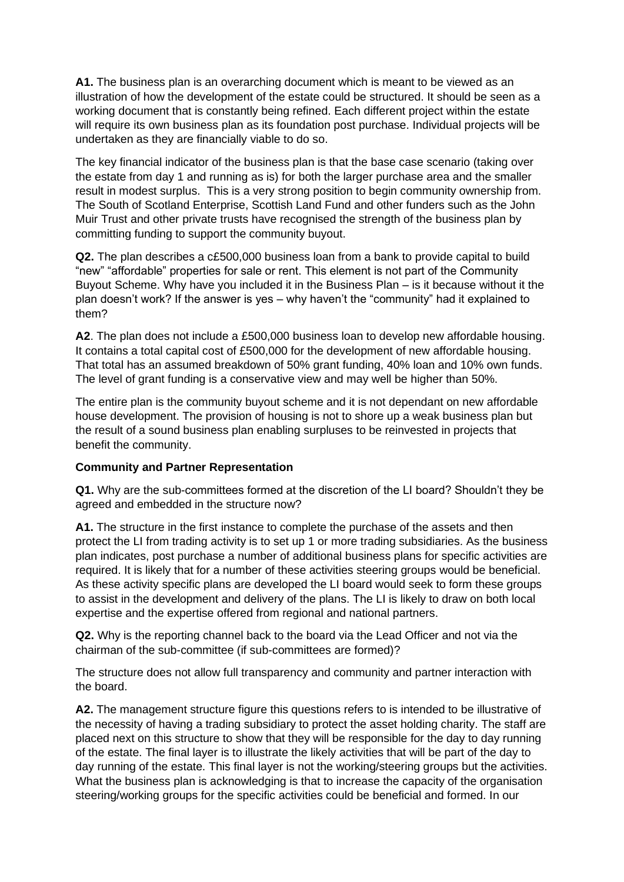**A1.** The business plan is an overarching document which is meant to be viewed as an illustration of how the development of the estate could be structured. It should be seen as a working document that is constantly being refined. Each different project within the estate will require its own business plan as its foundation post purchase. Individual projects will be undertaken as they are financially viable to do so.

The key financial indicator of the business plan is that the base case scenario (taking over the estate from day 1 and running as is) for both the larger purchase area and the smaller result in modest surplus. This is a very strong position to begin community ownership from. The South of Scotland Enterprise, Scottish Land Fund and other funders such as the John Muir Trust and other private trusts have recognised the strength of the business plan by committing funding to support the community buyout.

**Q2.** The plan describes a c£500,000 business loan from a bank to provide capital to build "new" "affordable" properties for sale or rent. This element is not part of the Community Buyout Scheme. Why have you included it in the Business Plan – is it because without it the plan doesn't work? If the answer is yes – why haven't the "community" had it explained to them?

**A2**. The plan does not include a £500,000 business loan to develop new affordable housing. It contains a total capital cost of £500,000 for the development of new affordable housing. That total has an assumed breakdown of 50% grant funding, 40% loan and 10% own funds. The level of grant funding is a conservative view and may well be higher than 50%.

The entire plan is the community buyout scheme and it is not dependant on new affordable house development. The provision of housing is not to shore up a weak business plan but the result of a sound business plan enabling surpluses to be reinvested in projects that benefit the community.

#### **Community and Partner Representation**

**Q1.** Why are the sub-committees formed at the discretion of the LI board? Shouldn't they be agreed and embedded in the structure now?

**A1.** The structure in the first instance to complete the purchase of the assets and then protect the LI from trading activity is to set up 1 or more trading subsidiaries. As the business plan indicates, post purchase a number of additional business plans for specific activities are required. It is likely that for a number of these activities steering groups would be beneficial. As these activity specific plans are developed the LI board would seek to form these groups to assist in the development and delivery of the plans. The LI is likely to draw on both local expertise and the expertise offered from regional and national partners.

**Q2.** Why is the reporting channel back to the board via the Lead Officer and not via the chairman of the sub-committee (if sub-committees are formed)?

The structure does not allow full transparency and community and partner interaction with the board.

**A2.** The management structure figure this questions refers to is intended to be illustrative of the necessity of having a trading subsidiary to protect the asset holding charity. The staff are placed next on this structure to show that they will be responsible for the day to day running of the estate. The final layer is to illustrate the likely activities that will be part of the day to day running of the estate. This final layer is not the working/steering groups but the activities. What the business plan is acknowledging is that to increase the capacity of the organisation steering/working groups for the specific activities could be beneficial and formed. In our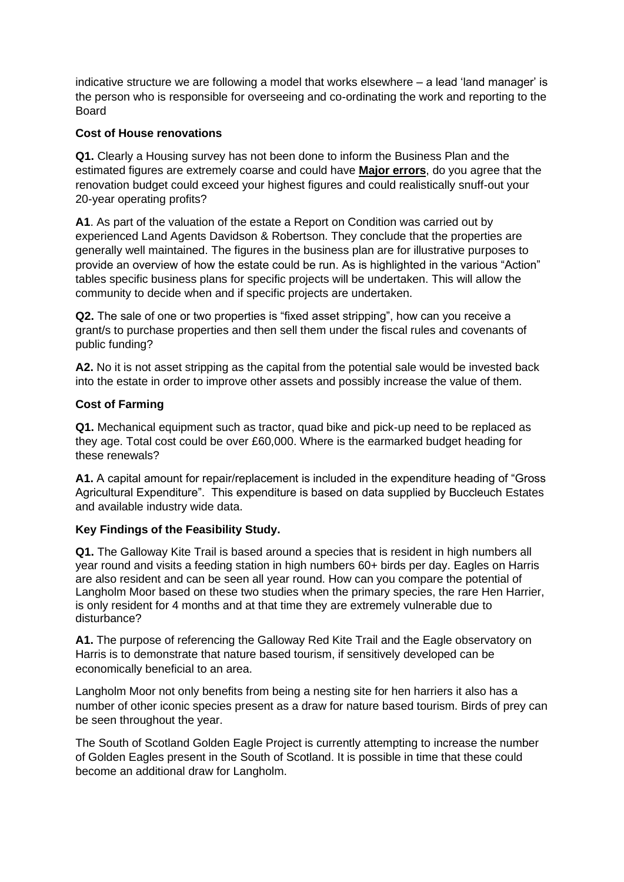indicative structure we are following a model that works elsewhere – a lead 'land manager' is the person who is responsible for overseeing and co-ordinating the work and reporting to the Board

# **Cost of House renovations**

**Q1.** Clearly a Housing survey has not been done to inform the Business Plan and the estimated figures are extremely coarse and could have **Major errors**, do you agree that the renovation budget could exceed your highest figures and could realistically snuff-out your 20-year operating profits?

**A1**. As part of the valuation of the estate a Report on Condition was carried out by experienced Land Agents Davidson & Robertson. They conclude that the properties are generally well maintained. The figures in the business plan are for illustrative purposes to provide an overview of how the estate could be run. As is highlighted in the various "Action" tables specific business plans for specific projects will be undertaken. This will allow the community to decide when and if specific projects are undertaken.

**Q2.** The sale of one or two properties is "fixed asset stripping", how can you receive a grant/s to purchase properties and then sell them under the fiscal rules and covenants of public funding?

**A2.** No it is not asset stripping as the capital from the potential sale would be invested back into the estate in order to improve other assets and possibly increase the value of them.

#### **Cost of Farming**

**Q1.** Mechanical equipment such as tractor, quad bike and pick-up need to be replaced as they age. Total cost could be over £60,000. Where is the earmarked budget heading for these renewals?

**A1.** A capital amount for repair/replacement is included in the expenditure heading of "Gross Agricultural Expenditure". This expenditure is based on data supplied by Buccleuch Estates and available industry wide data.

# **Key Findings of the Feasibility Study.**

**Q1.** The Galloway Kite Trail is based around a species that is resident in high numbers all year round and visits a feeding station in high numbers 60+ birds per day. Eagles on Harris are also resident and can be seen all year round. How can you compare the potential of Langholm Moor based on these two studies when the primary species, the rare Hen Harrier, is only resident for 4 months and at that time they are extremely vulnerable due to disturbance?

**A1.** The purpose of referencing the Galloway Red Kite Trail and the Eagle observatory on Harris is to demonstrate that nature based tourism, if sensitively developed can be economically beneficial to an area.

Langholm Moor not only benefits from being a nesting site for hen harriers it also has a number of other iconic species present as a draw for nature based tourism. Birds of prey can be seen throughout the year.

The South of Scotland Golden Eagle Project is currently attempting to increase the number of Golden Eagles present in the South of Scotland. It is possible in time that these could become an additional draw for Langholm.